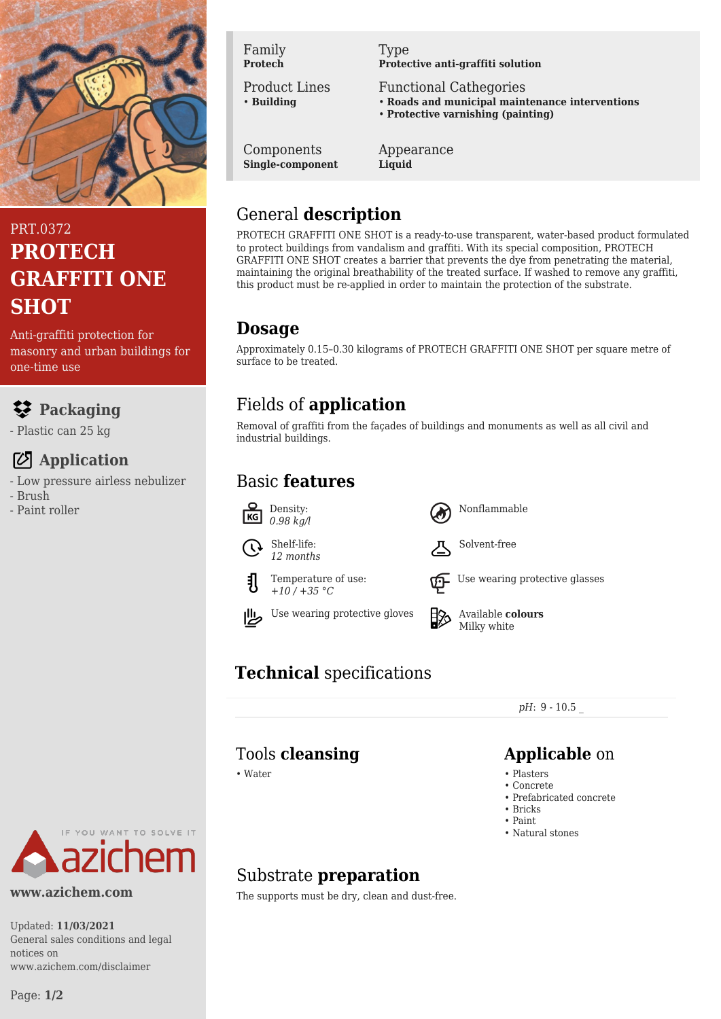

PRT.0372 **PROTECH GRAFFITI ONE SHOT**

Anti-graffiti protection for masonry and urban buildings for one-time use

## **Packaging**

- Plastic can 25 kg

## **Application**

- Low pressure airless nebulizer
- Brush
- Paint roller



Product Lines • **Building**

Components **Single-component** Type **Protective anti-graffiti solution**

Functional Cathegories

- **Roads and municipal maintenance interventions**
- **Protective varnishing (painting)**

Appearance **Liquid**

### General **description**

PROTECH GRAFFITI ONE SHOT is a ready-to-use transparent, water-based product formulated to protect buildings from vandalism and graffiti. With its special composition, PROTECH GRAFFITI ONE SHOT creates a barrier that prevents the dye from penetrating the material, maintaining the original breathability of the treated surface. If washed to remove any graffiti, this product must be re-applied in order to maintain the protection of the substrate.

### **Dosage**

Approximately 0.15–0.30 kilograms of PROTECH GRAFFITI ONE SHOT per square metre of surface to be treated.

# Fields of **application**

Removal of graffiti from the façades of buildings and monuments as well as all civil and industrial buildings.

## Basic **features**









Temperature of use:





Use wearing protective gloves  $\Box$  Available **colours** Milky white

Nonflammable

Solvent-free

# **Technical** specifications

*pH*: 9 - 10.5 \_

# Tools **cleansing Applicable** on

- Water Plasters Plasters Plasters Plasters Plasters Plasters Plasters Plasters Plasters Plasters Plasters Plasters Plasters Plasters Plasters Plasters Plasters Plasters Plasters Pla
	- Concrete
	- Prefabricated concrete
	- Bricks • Paint
	- Natural stones

# YOU WANT TO SOLVE IT

### **www.azichem.com**

Updated: **11/03/2021** General sales conditions and legal notices on www.azichem.com/disclaimer

# Substrate **preparation**

The supports must be dry, clean and dust-free.